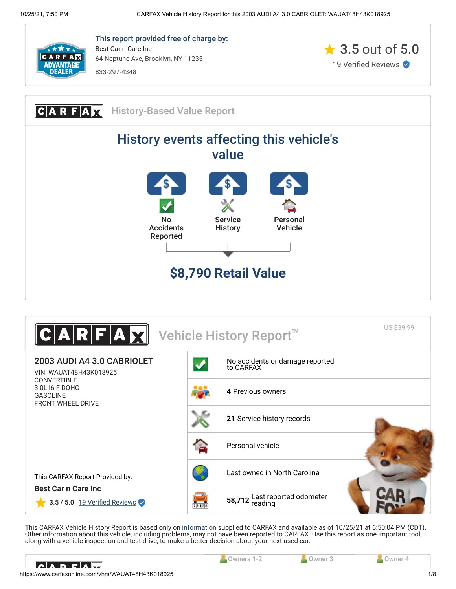

This report provided free of charge by: Best Car n Care Inc 64 Neptune Ave, Brooklyn, NY 11235 833-297-4348







This CARFAX Vehicle History Report is based only on [information](http://www.carfax.com/company/vhr-data-sources) supplied to CARFAX and available as of 10/25/21 at 6:50:04 PM (CDT). Other information about this vehicle, including problems, may not have been reported to CARFAX. Use this report as one important tool, along with a vehicle inspection and test drive, to make a better decision about your next used car.

<span id="page-0-0"></span>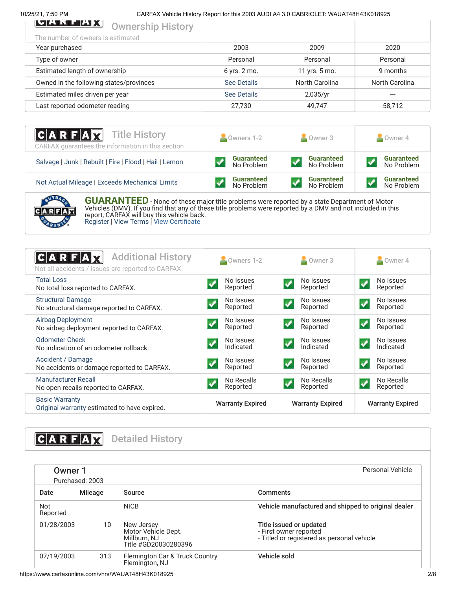# 10/25/21, 7:50 PM CARFAX Vehicle History Report for this 2003 AUDI A4 3.0 CABRIOLET: WAUAT48H43K018925

| 2003               | 2009           | 2020           |
|--------------------|----------------|----------------|
| Personal           | Personal       | Personal       |
| $6$ yrs. $2$ mo.   | 11 yrs. 5 mo.  | 9 months       |
| <b>See Details</b> | North Carolina | North Carolina |
| <b>See Details</b> | 2,035/yr       |                |
| 27,730             | 49,747         | 58,712         |
|                    |                |                |

| <b>CARFAX</b> Title History<br>CARFAX guarantees the information in this section | $\sim$ Owners 1-2 | Owner 3           | Owner 4           |
|----------------------------------------------------------------------------------|-------------------|-------------------|-------------------|
| Salvage   Junk   Rebuilt   Fire   Flood   Hail   Lemon                           | <b>Guaranteed</b> | <b>Guaranteed</b> | <b>Guaranteed</b> |
|                                                                                  | No Problem        | No Problem        | No Problem        |
| Not Actual Mileage   Exceeds Mechanical Limits                                   | <b>Guaranteed</b> | <b>Guaranteed</b> | <b>Guaranteed</b> |
|                                                                                  | No Problem        | No Problem        | No Problem        |



**GUARANTEED** - None of these major title problems were reported by a state Department of Motor Vehicles (DMV). If you find that any of these title problems were reported by a DMV and not included in this report, CARFAX will buy this vehicle back. [Register](https://www.carfax.com/Service/bbg) | [View Terms](http://www.carfaxonline.com/legal/bbgTerms) | [View Certificate](https://www.carfaxonline.com/vhrs/WAUAT48H43K018925)

<span id="page-1-0"></span>

| <b>Additional History</b><br> C A R F A<br>Not all accidents / issues are reported to CARFAX | Owners 1-2                                    | $\triangle$ Owner 3                                 | Owner 4                                             |
|----------------------------------------------------------------------------------------------|-----------------------------------------------|-----------------------------------------------------|-----------------------------------------------------|
| <b>Total Loss</b><br>No total loss reported to CARFAX.                                       | No Issues<br>Reported                         | No Issues<br>$\boldsymbol{\mathcal{N}}$<br>Reported | No Issues<br>Reported                               |
| <b>Structural Damage</b><br>No structural damage reported to CARFAX.                         | No Issues<br>Reported                         | No Issues<br>$\boldsymbol{J}$<br>Reported           | No Issues<br>$\boldsymbol{\mathcal{N}}$<br>Reported |
| <b>Airbag Deployment</b><br>No airbag deployment reported to CARFAX.                         | No Issues<br>$\blacktriangledown$<br>Reported | No Issues<br>$\blacktriangledown$<br>Reported       | No Issues<br>$\blacktriangledown$<br>Reported       |
| <b>Odometer Check</b><br>No indication of an odometer rollback.                              | No Issues<br>Indicated                        | No Issues<br>$\blacktriangledown$<br>Indicated      | No Issues<br>$\boldsymbol{J}$<br>Indicated          |
| Accident / Damage<br>No accidents or damage reported to CARFAX.                              | No Issues<br>Reported                         | No Issues<br>$\boldsymbol{J}$<br>Reported           | No Issues<br>$\boldsymbol{J}$<br>Reported           |
| Manufacturer Recall<br>No open recalls reported to CARFAX.                                   | No Recalls<br>Reported                        | No Recalls<br>$\blacktriangledown$<br>Reported      | No Recalls<br>Reported                              |
| <b>Basic Warranty</b><br>Original warranty estimated to have expired.                        | <b>Warranty Expired</b>                       | <b>Warranty Expired</b>                             | <b>Warranty Expired</b>                             |

<span id="page-1-2"></span><span id="page-1-1"></span>**CARFAX** Detailed History Owner 1 Purchased: 2003 Personal Vehicle Date Mileage Source **Comments** Not Reported NICB Vehicle manufactured and shipped to original dealer 01/28/2003 10 New Jersey Motor Vehicle Dept. Millburn, NJ Title #GD20030280396 Title issued or updated - First owner reported - Titled or registered as personal vehicle 07/19/2003 313 Flemington Car & Truck Country Flemington, NJ Vehicle sold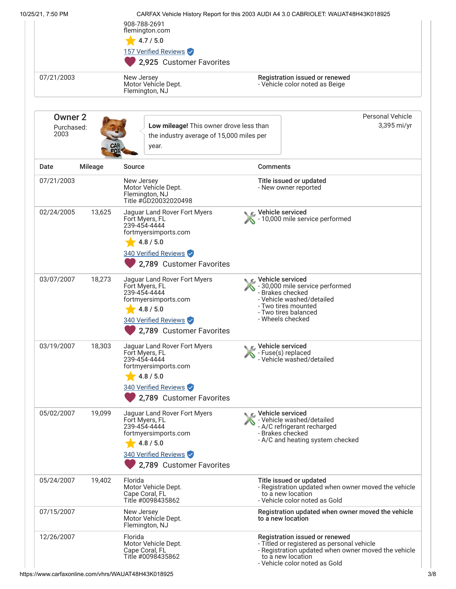|                                      |         | 908-788-2691<br>flemington.com<br>4.7 / 5.0<br>157 Verified Reviews<br>2,925 Customer Favorites                                                         |  |                                                                                                                                                                                           |
|--------------------------------------|---------|---------------------------------------------------------------------------------------------------------------------------------------------------------|--|-------------------------------------------------------------------------------------------------------------------------------------------------------------------------------------------|
| 07/21/2003                           |         | New Jersey<br>Motor Vehicle Dept.<br>Flemington, NJ                                                                                                     |  | Registration issued or renewed<br>- Vehicle color noted as Beige                                                                                                                          |
| <b>Owner 2</b><br>Purchased:<br>2003 |         | Low mileage! This owner drove less than<br>the industry average of 15,000 miles per<br>year.                                                            |  | <b>Personal Vehicle</b><br>3,395 mi/yr                                                                                                                                                    |
| Date                                 | Mileage | Source                                                                                                                                                  |  | <b>Comments</b>                                                                                                                                                                           |
| 07/21/2003                           |         | New Jersey<br>Motor Vehicle Dept.<br>Flemington, NJ<br>Title #GD20032020498                                                                             |  | Title issued or updated<br>- New owner reported                                                                                                                                           |
| 02/24/2005                           | 13,625  | Jaguar Land Rover Fort Myers<br>Fort Myers, FL<br>239-454-4444<br>fortmyersimports.com<br>4.8 / 5.0<br>340 Verified Reviews<br>2,789 Customer Favorites |  | Vehicle serviced<br>- 10,000 mile service performed                                                                                                                                       |
| 03/07/2007                           | 18,273  | Jaguar Land Rover Fort Myers<br>Fort Myers, FL<br>239-454-4444<br>fortmyersimports.com<br>4.8 / 5.0<br>340 Verified Reviews<br>2,789 Customer Favorites |  | Vehicle serviced<br>- 30,000 mile service performed<br>- Brakes checked<br>- Vehicle washed/detailed<br>- Two tires mounted<br>- Two tires balanced<br>- Wheels checked                   |
| 03/19/2007                           | 18,303  | Jaguar Land Rover Fort Myers<br>Fort Mvers, FL<br>239-454-4444<br>fortmyersimports.com<br>4.8 / 5.0<br>340 Verified Reviews<br>2,789 Customer Favorites |  | Vehicle serviced<br>- Fuse(s) replaced<br>- Vehicle washed/detailed                                                                                                                       |
| 05/02/2007                           | 19,099  | Jaguar Land Rover Fort Myers<br>Fort Myers, FL<br>239-454-4444<br>fortmyersimports.com<br>4.8 / 5.0<br>340 Verified Reviews<br>2,789 Customer Favorites |  | C. Vehicle serviced<br>- Vehicle washed/detailed<br>- A/C refrigerant recharged<br>- Brakes checked<br>- A/C and heating system checked                                                   |
| 05/24/2007                           | 19,402  | Florida<br>Motor Vehicle Dept.<br>Cape Coral, FL<br>Title #0098435862                                                                                   |  | Title issued or updated<br>- Registration updated when owner moved the vehicle<br>to a new location<br>- Vehicle color noted as Gold                                                      |
| 07/15/2007                           |         | New Jersey<br>Motor Vehicle Dept.<br>Flemington, NJ                                                                                                     |  | Registration updated when owner moved the vehicle<br>to a new location                                                                                                                    |
| 12/26/2007                           |         | Florida<br>Motor Vehicle Dept.<br>Cape Coral, FL<br>Title #0098435862                                                                                   |  | Registration issued or renewed<br>- Titled or registered as personal vehicle<br>- Registration updated when owner moved the vehicle<br>to a new location<br>- Vehicle color noted as Gold |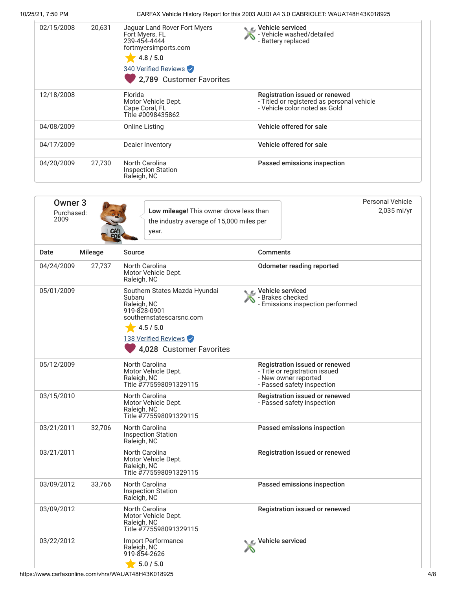10/25/21, 7:50 PM CARFAX Vehicle History Report for this 2003 AUDI A4 3.0 CABRIOLET: WAUAT48H43K018925

| 02/15/2008                               | 20,631         | Jaguar Land Rover Fort Myers<br>Fort Myers, FL<br>239-454-4444<br>fortmyersimports.com<br>4.8 / 5.0<br>340 Verified Reviews<br>2,789 Customer Favorites | Vehicle serviced<br>- Vehicle washed/detailed<br>- Battery replaced                                           |
|------------------------------------------|----------------|---------------------------------------------------------------------------------------------------------------------------------------------------------|---------------------------------------------------------------------------------------------------------------|
| 12/18/2008                               |                | Florida<br>Motor Vehicle Dept.<br>Cape Coral, FL<br>Title #0098435862                                                                                   | Registration issued or renewed<br>- Titled or registered as personal vehicle<br>- Vehicle color noted as Gold |
| 04/08/2009                               |                | <b>Online Listing</b>                                                                                                                                   | Vehicle offered for sale                                                                                      |
| 04/17/2009                               |                | Dealer Inventory                                                                                                                                        | Vehicle offered for sale                                                                                      |
| 04/20/2009                               | 27,730         | North Carolina<br><b>Inspection Station</b><br>Raleigh, NC                                                                                              | Passed emissions inspection                                                                                   |
| Owner <sub>3</sub><br>Purchased:<br>2009 | CAR<br>FOX-    | Low mileage! This owner drove less than<br>the industry average of 15,000 miles per<br>year.                                                            | Personal Vehicle<br>2,035 mi/yr                                                                               |
| Date                                     | <b>Mileage</b> | <b>Source</b>                                                                                                                                           | Comments                                                                                                      |
| 04/24/2009                               | 27,737         | North Carolina<br>Motor Vehicle Dept.<br>Raleigh, NC                                                                                                    | <b>Odometer reading reported</b>                                                                              |
| 05/01/2009                               |                | Southern States Mazda Hyundai                                                                                                                           | Vehicle serviced                                                                                              |

|            |        | Subaru<br>Raleigh, NC<br>919-828-0901<br>southernstatescarsnc.com<br>4.5 / 5.0<br>138 Verified Reviews<br>4,028 Customer Favorites | - Brakes checked<br>- Emissions inspection performed                                                                   |
|------------|--------|------------------------------------------------------------------------------------------------------------------------------------|------------------------------------------------------------------------------------------------------------------------|
| 05/12/2009 |        | North Carolina<br>Motor Vehicle Dept.<br>Raleigh, NC<br>Title #775598091329115                                                     | Registration issued or renewed<br>- Title or registration issued<br>- New owner reported<br>- Passed safety inspection |
| 03/15/2010 |        | North Carolina<br>Motor Vehicle Dept.<br>Raleigh, NC<br>Title #775598091329115                                                     | Registration issued or renewed<br>- Passed safety inspection                                                           |
| 03/21/2011 | 32.706 | <b>North Carolina</b><br><b>Inspection Station</b><br>Raleigh, NC                                                                  | Passed emissions inspection                                                                                            |
| 03/21/2011 |        | <b>North Carolina</b><br>Motor Vehicle Dept.<br>Raleigh, NC<br>Title #775598091329115                                              | Registration issued or renewed                                                                                         |
| 03/09/2012 | 33,766 | North Carolina<br><b>Inspection Station</b><br>Raleigh, NC                                                                         | Passed emissions inspection                                                                                            |
| 03/09/2012 |        | North Carolina<br>Motor Vehicle Dept.                                                                                              | Registration issued or renewed                                                                                         |

Vehicle serviced

03/22/2012 Import Performance

Raleigh, NC

Raleigh, NC 919-854-2626

Title #775598091329115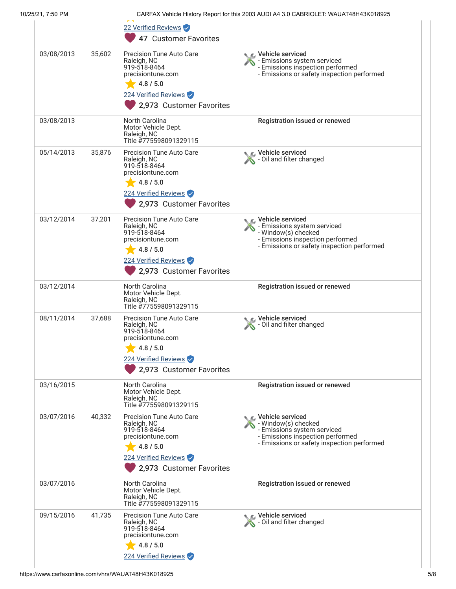|            |        | 22 Verified Reviews                                                                                                                                                           |                                                                                                                                                                          |
|------------|--------|-------------------------------------------------------------------------------------------------------------------------------------------------------------------------------|--------------------------------------------------------------------------------------------------------------------------------------------------------------------------|
| 03/08/2013 | 35,602 | 47 Customer Favorites<br><b>Precision Tune Auto Care</b><br>Raleigh, NC<br>919-518-8464<br>precisiontune.com<br>4.8 / 5.0<br>224 Verified Reviews<br>2,973 Customer Favorites | C Vehicle serviced<br>- Emissions system serviced<br>- Emissions inspection performed<br>- Emissions or safety inspection performed                                      |
| 03/08/2013 |        | <b>North Carolina</b><br>Motor Vehicle Dept.<br>Raleigh, NC<br>Title #775598091329115                                                                                         | Registration issued or renewed                                                                                                                                           |
| 05/14/2013 | 35,876 | <b>Precision Tune Auto Care</b><br>Raleigh, NC<br>919-518-8464<br>precisiontune.com<br>4.8 / 5.0<br>224 Verified Reviews<br>2,973 Customer Favorites                          | Vehicle serviced<br>- Oil and filter changed                                                                                                                             |
| 03/12/2014 | 37,201 | <b>Precision Tune Auto Care</b><br>Raleigh, NC<br>919-518-8464<br>precisiontune.com<br>4.8 / 5.0<br>224 Verified Reviews<br>2,973 Customer Favorites                          | <b><i>€</i></b> Vehicle serviced<br>- Emissions system serviced<br>- Window(s) checked<br>- Emissions inspection performed<br>- Emissions or safety inspection performed |
| 03/12/2014 |        | North Carolina<br>Motor Vehicle Dept.<br>Raleigh, NC<br>Title #775598091329115                                                                                                | Registration issued or renewed                                                                                                                                           |
| 08/11/2014 | 37,688 | <b>Precision Tune Auto Care</b><br>Raleigh, NC<br>919-518-8464<br>precisiontune.com<br>4.8 / 5.0<br>224 Verified Reviews<br>2,973 Customer Favorites                          | Vehicle serviced<br>- Oil and filter changed                                                                                                                             |
| 03/16/2015 |        | North Carolina<br>Motor Vehicle Dept.<br>Raleigh, NC<br>Title #775598091329115                                                                                                | Registration issued or renewed                                                                                                                                           |
| 03/07/2016 | 40,332 | Precision Tune Auto Care<br>Raleigh, NC<br>919-518-8464<br>precisiontune.com<br>4.8 / 5.0<br>224 Verified Reviews<br>2,973 Customer Favorites                                 | C Vehicle serviced<br>- Window(s) checked<br>- Emissions system serviced<br>- Emissions inspection performed<br>- Emissions or safety inspection performed               |
| 03/07/2016 |        | North Carolina<br>Motor Vehicle Dept.<br>Raleigh, NC<br>Title #775598091329115                                                                                                | Registration issued or renewed                                                                                                                                           |
| 09/15/2016 | 41,735 | Precision Tune Auto Care<br>Raleigh, NC<br>919-518-8464<br>precisiontune.com<br>4.8 / 5.0<br>224 Verified Reviews                                                             | Vehicle serviced<br>- Oil and filter changed                                                                                                                             |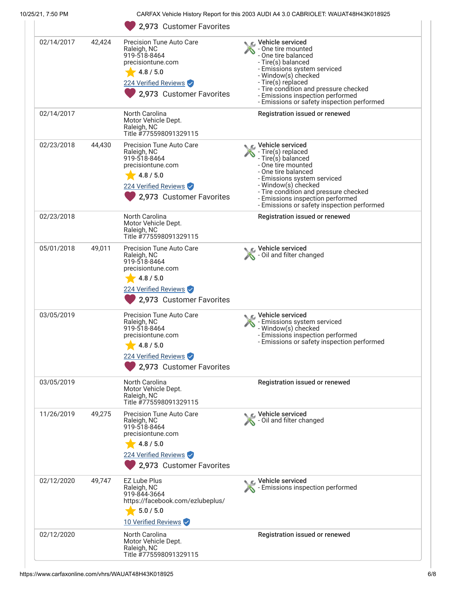| 10/25/21, 7:50 PM |        |                                                                                                                                                      | CARFAX Vehicle History Report for this 2003 AUDI A4 3.0 CABRIOLET: WAUAT48H43K018925                                                                                                                                                                                                         |
|-------------------|--------|------------------------------------------------------------------------------------------------------------------------------------------------------|----------------------------------------------------------------------------------------------------------------------------------------------------------------------------------------------------------------------------------------------------------------------------------------------|
|                   |        | 2,973 Customer Favorites                                                                                                                             |                                                                                                                                                                                                                                                                                              |
| 02/14/2017        | 42,424 | <b>Precision Tune Auto Care</b><br>Raleigh, NC<br>919-518-8464<br>precisiontune.com<br>4.8 / 5.0<br>224 Verified Reviews<br>2,973 Customer Favorites | C Vehicle serviced<br>- One tire mounted<br>- One tire balanced<br>- Tire(s) balanced<br>- Emissions system serviced<br>- Window(s) checked<br>- Tire(s) replaced<br>- Tire condition and pressure checked<br>- Emissions inspection performed<br>- Emissions or safety inspection performed |
| 02/14/2017        |        | North Carolina<br>Motor Vehicle Dept.<br>Raleigh, NC<br>Title #775598091329115                                                                       | Registration issued or renewed                                                                                                                                                                                                                                                               |
| 02/23/2018        | 44,430 | <b>Precision Tune Auto Care</b><br>Raleigh, NC<br>919-518-8464<br>precisiontune.com<br>4.8 / 5.0<br>224 Verified Reviews<br>2,973 Customer Favorites | C Vehicle serviced<br>- Tire(s) replaced<br>- Tire(s) balanced<br>- One tire mounted<br>- One tire balanced<br>- Emissions system serviced<br>- Window(s) checked<br>- Tire condition and pressure checked<br>- Emissions inspection performed<br>- Emissions or safety inspection performed |
| 02/23/2018        |        | North Carolina<br>Motor Vehicle Dept.<br>Raleigh, NC<br>Title #775598091329115                                                                       | Registration issued or renewed                                                                                                                                                                                                                                                               |
| 05/01/2018        | 49,011 | <b>Precision Tune Auto Care</b><br>Raleigh, NC<br>919-518-8464<br>precisiontune.com<br>4.8 / 5.0<br>224 Verified Reviews<br>2,973 Customer Favorites | Vehicle serviced<br>- Oil and filter changed                                                                                                                                                                                                                                                 |
| 03/05/2019        |        | Precision Tune Auto Care<br>Raleigh, NC<br>919-518-8464<br>precisiontune.com<br>4.8 / 5.0<br>224 Verified Reviews<br>2,973 Customer Favorites        | C Vehicle serviced<br>- Emissions system serviced<br>- Window(s) checked<br>- Emissions inspection performed<br>Emissions or safety inspection performed                                                                                                                                     |
| 03/05/2019        |        | North Carolina<br>Motor Vehicle Dept.<br>Raleigh, NC<br>Title #775598091329115                                                                       | Registration issued or renewed                                                                                                                                                                                                                                                               |
| 11/26/2019        | 49.275 | <b>Precision Tune Auto Care</b><br>Raleigh, NC<br>919-518-8464<br>precisiontune.com<br>4.8 / 5.0<br>224 Verified Reviews<br>2,973 Customer Favorites | Vehicle serviced<br>- Oil and filter changed                                                                                                                                                                                                                                                 |
| 02/12/2020        | 49,747 | <b>EZ Lube Plus</b><br>Raleigh, NC<br>919-844-3664<br>https://facebook.com/ezlubeplus/<br>5.0 / 5.0<br>10 Verified Reviews                           | Vehicle serviced<br>- Emissions inspection performed                                                                                                                                                                                                                                         |
| 02/12/2020        |        | North Carolina<br>Motor Vehicle Dept.<br>Raleigh, NC<br>Title #775598091329115                                                                       | Registration issued or renewed                                                                                                                                                                                                                                                               |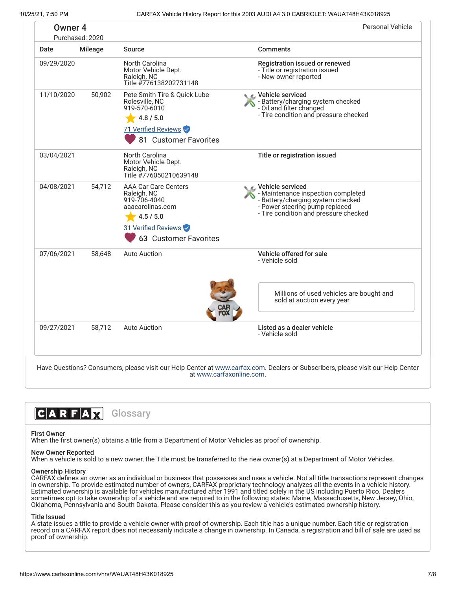| Owner <sub>4</sub> | Purchased: 2020 |                                                                                                                                             | <b>Personal Vehicle</b>                                                                                                                                                  |
|--------------------|-----------------|---------------------------------------------------------------------------------------------------------------------------------------------|--------------------------------------------------------------------------------------------------------------------------------------------------------------------------|
| Date               | <b>Mileage</b>  | <b>Source</b>                                                                                                                               | <b>Comments</b>                                                                                                                                                          |
| 09/29/2020         |                 | North Carolina<br>Motor Vehicle Dept.<br>Raleigh, NC<br>Title #776138202731148                                                              | Registration issued or renewed<br>- Title or registration issued<br>- New owner reported                                                                                 |
| 11/10/2020         | 50,902          | Pete Smith Tire & Quick Lube<br>Rolesville, NC<br>919-570-6010<br>4.8 / 5.0<br>71 Verified Reviews<br>81 Customer Favorites                 | ← Vehicle serviced<br>- Battery/charging system checked<br>- Oil and filter changed<br>- Tire condition and pressure checked                                             |
| 03/04/2021         |                 | North Carolina<br>Motor Vehicle Dept.<br>Raleigh, NC<br>Title #776050210639148                                                              | Title or registration issued                                                                                                                                             |
| 04/08/2021         | 54,712          | <b>AAA Car Care Centers</b><br>Raleigh, NC<br>919-706-4040<br>aaacarolinas.com<br>4.5 / 5.0<br>31 Verified Reviews<br>63 Customer Favorites | C Vehicle serviced<br>- Maintenance inspection completed<br>- Battery/charging system checked<br>- Power steering pump replaced<br>- Tire condition and pressure checked |
| 07/06/2021         | 58,648          | <b>Auto Auction</b>                                                                                                                         | Vehicle offered for sale<br>- Vehicle sold                                                                                                                               |
|                    |                 |                                                                                                                                             | Millions of used vehicles are bought and<br>sold at auction every year.                                                                                                  |
| 09/27/2021         | 58,712          | <b>Auto Auction</b>                                                                                                                         | Listed as a dealer vehicle<br>- Vehicle sold                                                                                                                             |

Have Questions? Consumers, please visit our Help Center at [www.carfax.com](http://www.carfax.com/help). Dealers or Subscribers, please visit our Help Center at [www.carfaxonline.com.](http://www.carfaxonline.com/)



## First Owner

When the first owner(s) obtains a title from a Department of Motor Vehicles as proof of ownership.

### New Owner Reported

When a vehicle is sold to a new owner, the Title must be transferred to the new owner(s) at a Department of Motor Vehicles.

## Ownership History

CARFAX defines an owner as an individual or business that possesses and uses a vehicle. Not all title transactions represent changes in ownership. To provide estimated number of owners, CARFAX proprietary technology analyzes all the events in a vehicle history. Estimated ownership is available for vehicles manufactured after 1991 and titled solely in the US including Puerto Rico. Dealers sometimes opt to take ownership of a vehicle and are required to in the following states: Maine, Massachusetts, New Jersey, Ohio, Oklahoma, Pennsylvania and South Dakota. Please consider this as you review a vehicle's estimated ownership history.

#### Title Issued

A state issues a title to provide a vehicle owner with proof of ownership. Each title has a unique number. Each title or registration record on a CARFAX report does not necessarily indicate a change in ownership. In Canada, a registration and bill of sale are used as proof of ownership.